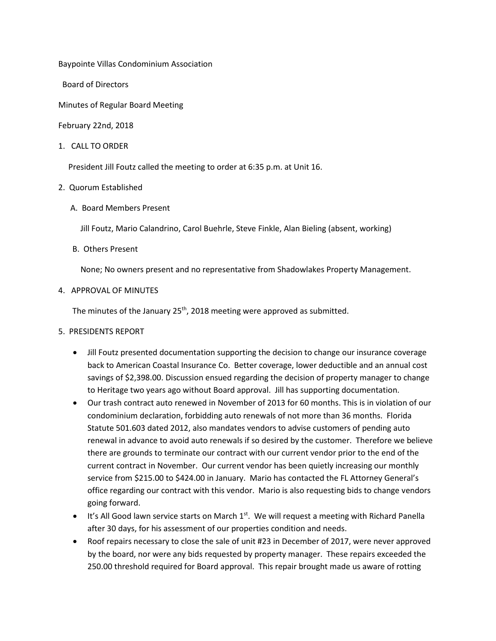Baypointe Villas Condominium Association

Board of Directors

Minutes of Regular Board Meeting

February 22nd, 2018

1. CALL TO ORDER

President Jill Foutz called the meeting to order at 6:35 p.m. at Unit 16.

## 2. Quorum Established

A. Board Members Present

Jill Foutz, Mario Calandrino, Carol Buehrle, Steve Finkle, Alan Bieling (absent, working)

B. Others Present

None; No owners present and no representative from Shadowlakes Property Management.

4. APPROVAL OF MINUTES

The minutes of the January 25<sup>th</sup>, 2018 meeting were approved as submitted.

- 5. PRESIDENTS REPORT
	- Jill Foutz presented documentation supporting the decision to change our insurance coverage back to American Coastal Insurance Co. Better coverage, lower deductible and an annual cost savings of \$2,398.00. Discussion ensued regarding the decision of property manager to change to Heritage two years ago without Board approval. Jill has supporting documentation.
	- Our trash contract auto renewed in November of 2013 for 60 months. This is in violation of our condominium declaration, forbidding auto renewals of not more than 36 months. Florida Statute 501.603 dated 2012, also mandates vendors to advise customers of pending auto renewal in advance to avoid auto renewals if so desired by the customer. Therefore we believe there are grounds to terminate our contract with our current vendor prior to the end of the current contract in November. Our current vendor has been quietly increasing our monthly service from \$215.00 to \$424.00 in January. Mario has contacted the FL Attorney General's office regarding our contract with this vendor. Mario is also requesting bids to change vendors going forward.
	- $\bullet$  It's All Good lawn service starts on March 1<sup>st</sup>. We will request a meeting with Richard Panella after 30 days, for his assessment of our properties condition and needs.
	- Roof repairs necessary to close the sale of unit #23 in December of 2017, were never approved by the board, nor were any bids requested by property manager. These repairs exceeded the 250.00 threshold required for Board approval. This repair brought made us aware of rotting